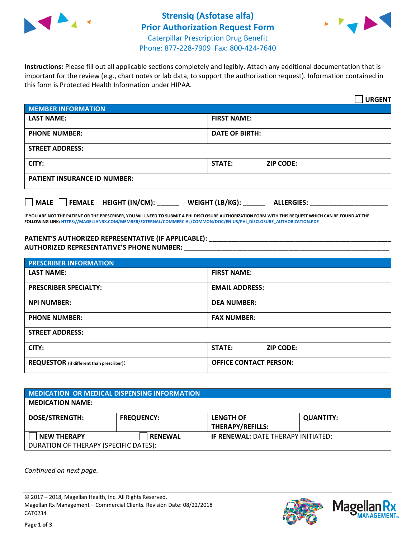



**Instructions:** Please fill out all applicable sections completely and legibly. Attach any additional documentation that is important for the review (e.g., chart notes or lab data, to support the authorization request). Information contained in this form is Protected Health Information under HIPAA.

|                                     | <b>URGENT</b>                        |  |  |  |
|-------------------------------------|--------------------------------------|--|--|--|
| <b>MEMBER INFORMATION</b>           |                                      |  |  |  |
| <b>LAST NAME:</b>                   | <b>FIRST NAME:</b>                   |  |  |  |
| <b>PHONE NUMBER:</b>                | <b>DATE OF BIRTH:</b>                |  |  |  |
| <b>STREET ADDRESS:</b>              |                                      |  |  |  |
| CITY:                               | STATE:<br><b>ZIP CODE:</b>           |  |  |  |
| <b>PATIENT INSURANCE ID NUMBER:</b> |                                      |  |  |  |
| FEMALE HEIGHT (IN/CM):<br>    MALE  | WEIGHT (LB/KG):<br><b>ALLERGIES:</b> |  |  |  |

**IF YOU ARE NOT THE PATIENT OR THE PRESCRIBER, YOU WILL NEED TO SUBMIT A PHI DISCLOSURE AUTHORIZATION FORM WITH THIS REQUEST WHICH CAN BE FOUND AT THE FOLLOWING LINK[: HTTPS://MAGELLANRX.COM/MEMBER/EXTERNAL/COMMERCIAL/COMMON/DOC/EN-US/PHI\\_DISCLOSURE\\_AUTHORIZATION.PDF](https://magellanrx.com/member/external/commercial/common/doc/en-us/PHI_Disclosure_Authorization.pdf)**

**PATIENT'S AUTHORIZED REPRESENTATIVE (IF APPLICABLE): \_\_\_\_\_\_\_\_\_\_\_\_\_\_\_\_\_\_\_\_\_\_\_\_\_\_\_\_\_\_\_\_\_\_\_\_\_\_\_\_\_\_\_\_\_\_\_\_\_ AUTHORIZED REPRESENTATIVE'S PHONE NUMBER:** \_\_\_\_\_\_\_\_\_\_\_\_\_\_\_\_\_\_\_\_\_\_\_\_\_\_\_\_\_\_\_\_\_\_\_\_\_\_\_\_\_\_\_\_\_\_\_\_\_\_\_\_\_\_\_

| <b>PRESCRIBER INFORMATION</b>             |                               |  |  |  |
|-------------------------------------------|-------------------------------|--|--|--|
| <b>LAST NAME:</b>                         | <b>FIRST NAME:</b>            |  |  |  |
| <b>PRESCRIBER SPECIALTY:</b>              | <b>EMAIL ADDRESS:</b>         |  |  |  |
| <b>NPI NUMBER:</b>                        | <b>DEA NUMBER:</b>            |  |  |  |
| <b>PHONE NUMBER:</b>                      | <b>FAX NUMBER:</b>            |  |  |  |
| <b>STREET ADDRESS:</b>                    |                               |  |  |  |
| CITY:                                     | STATE:<br><b>ZIP CODE:</b>    |  |  |  |
| REQUESTOR (if different than prescriber): | <b>OFFICE CONTACT PERSON:</b> |  |  |  |

| <b>MEDICATION OR MEDICAL DISPENSING INFORMATION</b> |                   |                                            |                  |  |  |
|-----------------------------------------------------|-------------------|--------------------------------------------|------------------|--|--|
| <b>MEDICATION NAME:</b>                             |                   |                                            |                  |  |  |
| <b>DOSE/STRENGTH:</b>                               | <b>FREQUENCY:</b> | <b>LENGTH OF</b>                           | <b>QUANTITY:</b> |  |  |
|                                                     |                   | <b>THERAPY/REFILLS:</b>                    |                  |  |  |
| <b>NEW THERAPY</b>                                  | <b>RENEWAL</b>    | <b>IF RENEWAL: DATE THERAPY INITIATED:</b> |                  |  |  |
| DURATION OF THERAPY (SPECIFIC DATES):               |                   |                                            |                  |  |  |

*Continued on next page.*

© 2017 – 2018, Magellan Health, Inc. All Rights Reserved. Magellan Rx Management – Commercial Clients. Revision Date: 08/22/2018 CAT0234



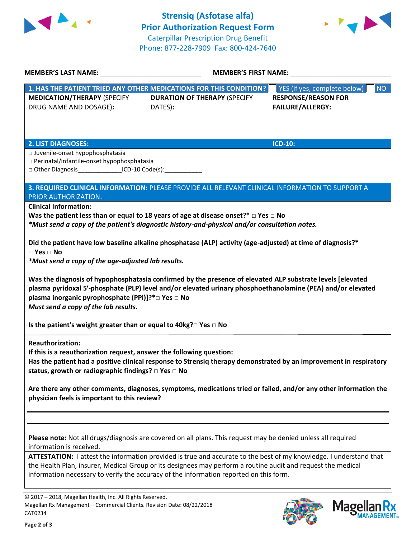



| <b>MEMBER'S LAST NAME:</b>                                                                                                                                       | MEMBER'S FIRST NAME: ___________                                                                            |                                           |  |  |
|------------------------------------------------------------------------------------------------------------------------------------------------------------------|-------------------------------------------------------------------------------------------------------------|-------------------------------------------|--|--|
|                                                                                                                                                                  | 1. HAS THE PATIENT TRIED ANY OTHER MEDICATIONS FOR THIS CONDITION?                                          | YES (if yes, complete below)<br><b>NO</b> |  |  |
| <b>MEDICATION/THERAPY (SPECIFY</b>                                                                                                                               | <b>DURATION OF THERAPY (SPECIFY</b>                                                                         | <b>RESPONSE/REASON FOR</b>                |  |  |
| DRUG NAME AND DOSAGE):                                                                                                                                           | DATES):                                                                                                     | <b>FAILURE/ALLERGY:</b>                   |  |  |
|                                                                                                                                                                  |                                                                                                             |                                           |  |  |
|                                                                                                                                                                  |                                                                                                             |                                           |  |  |
| <b>2. LIST DIAGNOSES:</b>                                                                                                                                        |                                                                                                             | <b>ICD-10:</b>                            |  |  |
| □ Juvenile-onset hypophosphatasia                                                                                                                                |                                                                                                             |                                           |  |  |
| □ Perinatal/infantile-onset hypophosphatasia                                                                                                                     |                                                                                                             |                                           |  |  |
| □ Other Diagnosis__________________ICD-10 Code(s):______________                                                                                                 |                                                                                                             |                                           |  |  |
|                                                                                                                                                                  | 3. REQUIRED CLINICAL INFORMATION: PLEASE PROVIDE ALL RELEVANT CLINICAL INFORMATION TO SUPPORT A             |                                           |  |  |
| PRIOR AUTHORIZATION.                                                                                                                                             |                                                                                                             |                                           |  |  |
| <b>Clinical Information:</b>                                                                                                                                     |                                                                                                             |                                           |  |  |
|                                                                                                                                                                  | Was the patient less than or equal to 18 years of age at disease onset?* $\Box$ Yes $\Box$ No               |                                           |  |  |
|                                                                                                                                                                  | *Must send a copy of the patient's diagnostic history-and-physical and/or consultation notes.               |                                           |  |  |
|                                                                                                                                                                  |                                                                                                             |                                           |  |  |
| $\Box$ Yes $\Box$ No                                                                                                                                             | Did the patient have low baseline alkaline phosphatase (ALP) activity (age-adjusted) at time of diagnosis?* |                                           |  |  |
| *Must send a copy of the age-adjusted lab results.                                                                                                               |                                                                                                             |                                           |  |  |
|                                                                                                                                                                  |                                                                                                             |                                           |  |  |
|                                                                                                                                                                  | Was the diagnosis of hypophosphatasia confirmed by the presence of elevated ALP substrate levels [elevated  |                                           |  |  |
|                                                                                                                                                                  | plasma pyridoxal 5'-phosphate (PLP) level and/or elevated urinary phosphoethanolamine (PEA) and/or elevated |                                           |  |  |
| plasma inorganic pyrophosphate (PPi)]?*□ Yes □ No                                                                                                                |                                                                                                             |                                           |  |  |
| Must send a copy of the lab results.                                                                                                                             |                                                                                                             |                                           |  |  |
| Is the patient's weight greater than or equal to 40kg? $\square$ Yes $\square$ No                                                                                |                                                                                                             |                                           |  |  |
| <b>Reauthorization:</b>                                                                                                                                          |                                                                                                             |                                           |  |  |
| If this is a reauthorization request, answer the following question:                                                                                             |                                                                                                             |                                           |  |  |
| Has the patient had a positive clinical response to Strensiq therapy demonstrated by an improvement in respiratory                                               |                                                                                                             |                                           |  |  |
| status, growth or radiographic findings? □ Yes □ No                                                                                                              |                                                                                                             |                                           |  |  |
|                                                                                                                                                                  |                                                                                                             |                                           |  |  |
| Are there any other comments, diagnoses, symptoms, medications tried or failed, and/or any other information the<br>physician feels is important to this review? |                                                                                                             |                                           |  |  |
|                                                                                                                                                                  |                                                                                                             |                                           |  |  |
|                                                                                                                                                                  |                                                                                                             |                                           |  |  |
|                                                                                                                                                                  |                                                                                                             |                                           |  |  |
| Please note: Not all drugs/diagnosis are covered on all plans. This request may be denied unless all required                                                    |                                                                                                             |                                           |  |  |
| information is received.                                                                                                                                         |                                                                                                             |                                           |  |  |
| ATTESTATION: I attest the information provided is true and accurate to the best of my knowledge. I understand that                                               |                                                                                                             |                                           |  |  |
| the Health Plan, insurer, Medical Group or its designees may perform a routine audit and request the medical                                                     |                                                                                                             |                                           |  |  |
|                                                                                                                                                                  | information necessary to verify the accuracy of the information reported on this form.                      |                                           |  |  |
|                                                                                                                                                                  |                                                                                                             |                                           |  |  |
| © 2017 - 2018, Magellan Health, Inc. All Rights Reserved.                                                                                                        |                                                                                                             |                                           |  |  |

CAT0234

Magellan Rx Management – Commercial Clients. Revision Date: 08/22/2018